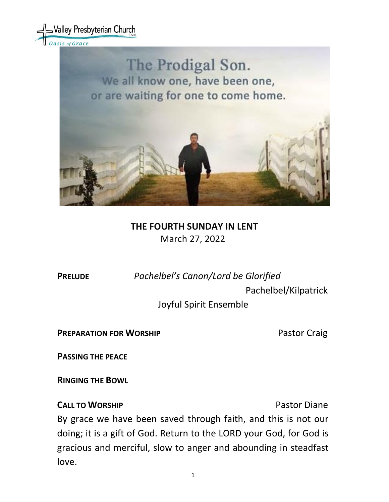

We all know one, have been one, or are waiting for one to come home.



# **THE FOURTH SUNDAY IN LENT** March 27, 2022

**PRELUDE** *Pachelbel's Canon/Lord be Glorified*

Pachelbel/Kilpatrick

Joyful Spirit Ensemble

**PREPARATION FOR WORSHIP <b>PREPARATION** FOR WORSHIP

**PASSING THE PEACE**

**RINGING THE BOWL** 

# **CALL TO WORSHIP CALL TO WORSHIP**

By grace we have been saved through faith, and this is not our doing; it is a gift of God. Return to the LORD your God, for God is gracious and merciful, slow to anger and abounding in steadfast love.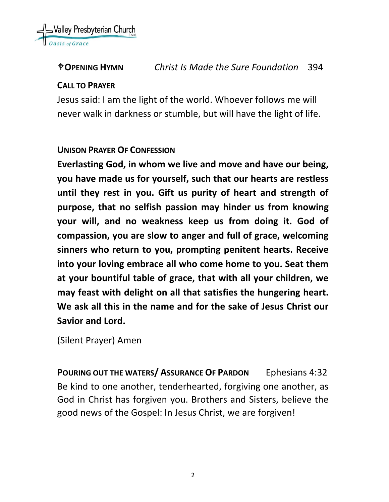

# **OPENING HYMN** *Christ Is Made the Sure Foundation* 394

#### **CALL TO PRAYER**

Jesus said: I am the light of the world. Whoever follows me will never walk in darkness or stumble, but will have the light of life.

#### **UNISON PRAYER OF CONFESSION**

**Everlasting God, in whom we live and move and have our being, you have made us for yourself, such that our hearts are restless until they rest in you. Gift us purity of heart and strength of purpose, that no selfish passion may hinder us from knowing your will, and no weakness keep us from doing it. God of compassion, you are slow to anger and full of grace, welcoming sinners who return to you, prompting penitent hearts. Receive into your loving embrace all who come home to you. Seat them at your bountiful table of grace, that with all your children, we may feast with delight on all that satisfies the hungering heart. We ask all this in the name and for the sake of Jesus Christ our Savior and Lord.**

(Silent Prayer) Amen

**POURING OUT THE WATERS/ ASSURANCE OF PARDON** Ephesians 4:32 Be kind to one another, tenderhearted, forgiving one another, as God in Christ has forgiven you. Brothers and Sisters, believe the good news of the Gospel: In Jesus Christ, we are forgiven!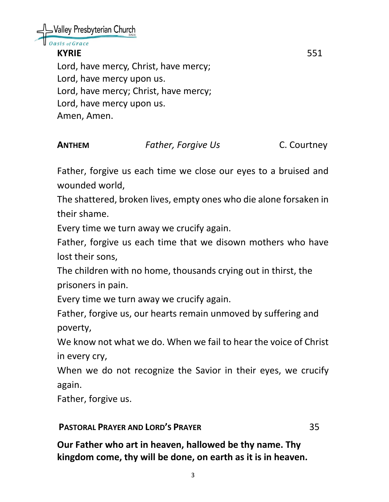Nalley Presbyterian Church

# sis of Grace

**KYRIE** 551

Lord, have mercy, Christ, have mercy; Lord, have mercy upon us. Lord, have mercy; Christ, have mercy; Lord, have mercy upon us. Amen, Amen.

# **ANTHEM** *Father, Forgive Us* C. Courtney

Father, forgive us each time we close our eyes to a bruised and wounded world,

The shattered, broken lives, empty ones who die alone forsaken in their shame.

Every time we turn away we crucify again.

Father, forgive us each time that we disown mothers who have lost their sons,

The children with no home, thousands crying out in thirst, the prisoners in pain.

Every time we turn away we crucify again.

Father, forgive us, our hearts remain unmoved by suffering and poverty,

We know not what we do. When we fail to hear the voice of Christ in every cry,

When we do not recognize the Savior in their eyes, we crucify again.

Father, forgive us.

#### **PASTORAL PRAYER AND LORD'S PRAYER** 35

**Our Father who art in heaven, hallowed be thy name. Thy kingdom come, thy will be done, on earth as it is in heaven.**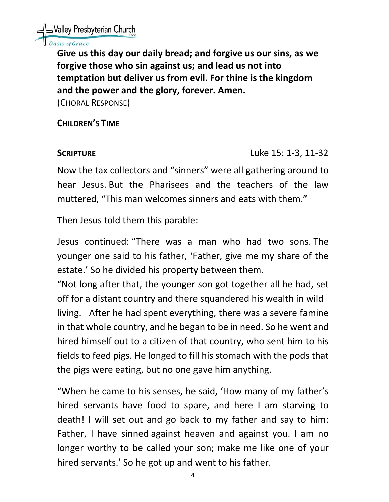

### **Dasis of Grace**

**Give us this day our daily bread; and forgive us our sins, as we forgive those who sin against us; and lead us not into temptation but deliver us from evil. For thine is the kingdom and the power and the glory, forever. Amen.** 

(CHORAL RESPONSE)

**CHILDREN'S TIME** 

**SCRIPTURE** Luke 15: 1-3, 11-32

Now the tax collectors and "sinners" were all gathering around to hear Jesus. But the Pharisees and the teachers of the law muttered, "This man welcomes sinners and eats with them."

Then Jesus told them this parable:

Jesus continued: "There was a man who had two sons. The younger one said to his father, 'Father, give me my share of the estate.' So he divided his property between them.

"Not long after that, the younger son got together all he had, set off for a distant country and there squandered his wealth in wild living. After he had spent everything, there was a severe famine in that whole country, and he began to be in need. So he went and hired himself out to a citizen of that country, who sent him to his fields to feed pigs. He longed to fill his stomach with the pods that the pigs were eating, but no one gave him anything.

"When he came to his senses, he said, 'How many of my father's hired servants have food to spare, and here I am starving to death! I will set out and go back to my father and say to him: Father, I have sinned against heaven and against you. I am no longer worthy to be called your son; make me like one of your hired servants.' So he got up and went to his father.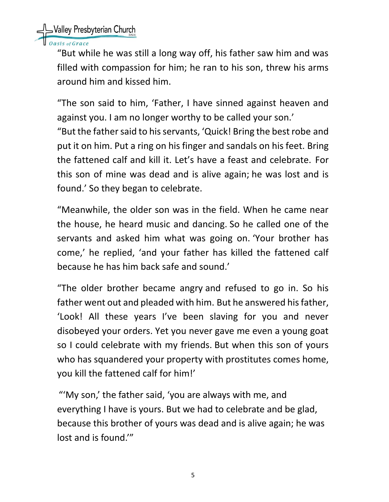Nalley Presbyterian Church

asis of Grace

"But while he was still a long way off, his father saw him and was filled with compassion for him; he ran to his son, threw his arms around him and kissed him.

"The son said to him, 'Father, I have sinned against heaven and against you. I am no longer worthy to be called your son.'

"But the father said to his servants, 'Quick! Bring the best robe and put it on him. Put a ring on his finger and sandals on his feet. Bring the fattened calf and kill it. Let's have a feast and celebrate. For this son of mine was dead and is alive again; he was lost and is found.' So they began to celebrate.

"Meanwhile, the older son was in the field. When he came near the house, he heard music and dancing. So he called one of the servants and asked him what was going on. 'Your brother has come,' he replied, 'and your father has killed the fattened calf because he has him back safe and sound.'

"The older brother became angry and refused to go in. So his father went out and pleaded with him. But he answered his father, 'Look! All these years I've been slaving for you and never disobeyed your orders. Yet you never gave me even a young goat so I could celebrate with my friends. But when this son of yours who has squandered your property with prostitutes comes home, you kill the fattened calf for him!'

"'My son,' the father said, 'you are always with me, and everything I have is yours. But we had to celebrate and be glad, because this brother of yours was dead and is alive again; he was lost and is found.'"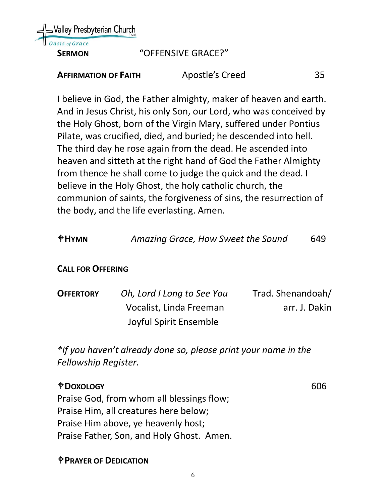

### **SERMON** "OFFENSIVE GRACE?"

| <b>AFFIRMATION OF FAITH</b> | Apostle's Creed | 35 |
|-----------------------------|-----------------|----|
|                             |                 |    |

I believe in God, the Father almighty, maker of heaven and earth. And in Jesus Christ, his only Son, our Lord, who was conceived by the Holy Ghost, born of the Virgin Mary, suffered under Pontius Pilate, was crucified, died, and buried; he descended into hell. The third day he rose again from the dead. He ascended into heaven and sitteth at the right hand of God the Father Almighty from thence he shall come to judge the quick and the dead. I believe in the Holy Ghost, the holy catholic church, the communion of saints, the forgiveness of sins, the resurrection of the body, and the life everlasting. Amen.

| $\bigoplus$ HYMN | Amazing Grace, How Sweet the Sound | 649 |
|------------------|------------------------------------|-----|
|------------------|------------------------------------|-----|

# **CALL FOR OFFERING**

| <b>OFFERTORY</b> | Oh, Lord I Long to See You | Trad. Shenandoah/ |
|------------------|----------------------------|-------------------|
|                  | Vocalist, Linda Freeman    | arr. J. Dakin     |
|                  | Joyful Spirit Ensemble     |                   |

*\*If you haven't already done so, please print your name in the Fellowship Register.*

**DOXOLOGY** 606 Praise God, from whom all blessings flow; Praise Him, all creatures here below; Praise Him above, ye heavenly host; Praise Father, Son, and Holy Ghost. Amen.

#### **PRAYER OF DEDICATION**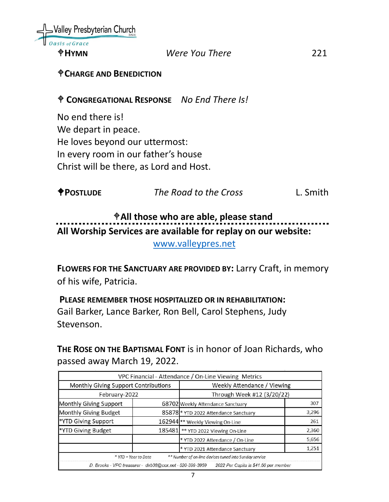

#### **HYMN** *Were You There* 221

#### **CHARGE AND BENEDICTION**

#### **CONGREGATIONAL RESPONSE** *No End There Is!*

No end there is! We depart in peace. He loves beyond our uttermost: In every room in our father's house Christ will be there, as Lord and Host.

| <b><i><u>OPOSTLUDE</u></i></b> | The Road to the Cross | L. Smith |
|--------------------------------|-----------------------|----------|
|                                |                       |          |

# **All those who are able, please stand All Worship Services are available for replay on our website:**

[www.valleypres.net](http://www.valleypres.net/)

**FLOWERS FOR THE SANCTUARY ARE PROVIDED BY:** Larry Craft, in memory of his wife, Patricia.

### **PLEASE REMEMBER THOSE HOSPITALIZED OR IN REHABILITATION:** Gail Barker, Lance Barker, Ron Bell, Carol Stephens, Judy Stevenson.

**THE ROSE ON THE BAPTISMAL FONT** is in honor of Joan Richards, who passed away March 19, 2022.

|                                                          |        | VPC Financial - Attendance / On-Line Viewing Metrics   |       |
|----------------------------------------------------------|--------|--------------------------------------------------------|-------|
| Monthly Giving Support Contributions                     |        | Weekly Attendance / Viewing                            |       |
| February-2022                                            |        | Through Week #12 (3/20/22)                             |       |
| Monthly Giving Support                                   |        | 68702 Weekly Attendance Sanctuary                      | 307   |
| Monthly Giving Budget                                    |        | 85878 * YTD 2022 Attendance Sanctuary                  | 3,296 |
| *YTD Giving Support                                      |        | 162944 ** Weekly Viewing On-Line                       | 261   |
| *YTD Giving Budget                                       | 185481 | ** YTD 2022 Viewing On-Line                            | 2,360 |
|                                                          |        | * YTD 2022 Attendance / On-Line                        | 5,656 |
|                                                          |        | * YTD 2021 Attendance Sanctuary                        | 1,251 |
| * YTD = Year to Date                                     |        | ** Number of on-line devices tuned into Sunday service |       |
| D. Brooks - VPC treasurer - dxb38@cox.net - 520-399-3959 |        | 2022 Per Capita is \$41.50 per member                  |       |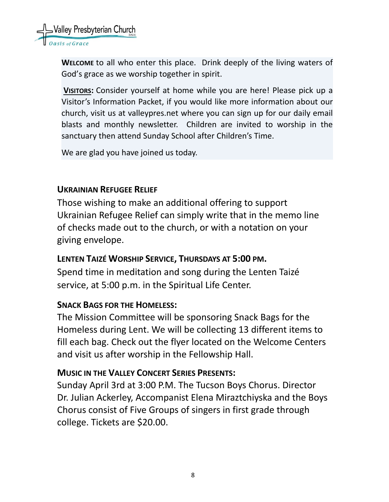

**WELCOME** to all who enter this place. Drink deeply of the living waters of God's grace as we worship together in spirit.

**VISITORS:** Consider yourself at home while you are here! Please pick up a Visitor's Information Packet, if you would like more information about our church, visit us at valleypres.net where you can sign up for our daily email blasts and monthly newsletter. Children are invited to worship in the sanctuary then attend Sunday School after Children's Time.

We are glad you have joined us today.

#### **UKRAINIAN REFUGEE RELIEF**

Those wishing to make an additional offering to support Ukrainian Refugee Relief can simply write that in the memo line of checks made out to the church, or with a notation on your giving envelope.

#### **LENTEN TAIZÉ WORSHIP SERVICE, THURSDAYS AT 5:00 PM.**

Spend time in meditation and song during the Lenten Taizé service, at 5:00 p.m. in the Spiritual Life Center.

#### **SNACK BAGS FOR THE HOMELESS:**

The Mission Committee will be sponsoring Snack Bags for the Homeless during Lent. We will be collecting 13 different items to fill each bag. Check out the flyer located on the Welcome Centers and visit us after worship in the Fellowship Hall.

#### **MUSIC IN THE VALLEY CONCERT SERIES PRESENTS:**

Sunday April 3rd at 3:00 P.M. The Tucson Boys Chorus. Director Dr. Julian Ackerley, Accompanist Elena Miraztchiyska and the Boys Chorus consist of Five Groups of singers in first grade through college. Tickets are \$20.00.